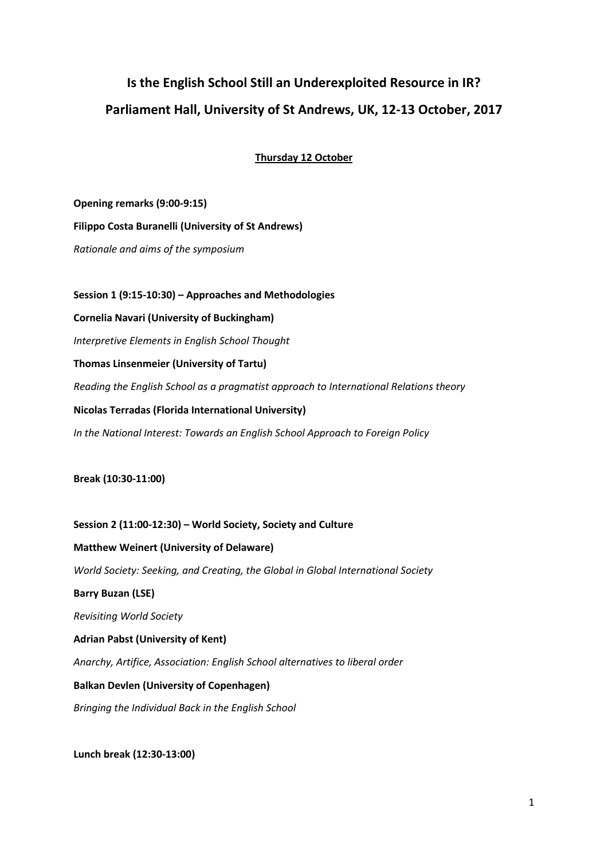# **Is the English School Still an Underexploited Resource in IR? Parliament Hall, University of St Andrews, UK, 12-13 October, 2017**

**Thursday 12 October**

**Opening remarks (9:00-9:15) Filippo Costa Buranelli (University of St Andrews)** *Rationale and aims of the symposium* **Session 1 (9:15-10:30) – Approaches and Methodologies Cornelia Navari (University of Buckingham)**  *Interpretive Elements in English School Thought* **Thomas Linsenmeier (University of Tartu)** *Reading the English School as a pragmatist approach to International Relations theory*

**Nicolas Terradas (Florida International University)** *In the National Interest: Towards an English School Approach to Foreign Policy*

**Break (10:30-11:00)**

**Session 2 (11:00-12:30) – World Society, Society and Culture Matthew Weinert (University of Delaware)** *World Society: Seeking, and Creating, the Global in Global International Society* **Barry Buzan (LSE)** *Revisiting World Society* **Adrian Pabst (University of Kent)** *Anarchy, Artifice, Association: English School alternatives to liberal order* **Balkan Devlen (University of Copenhagen)** *Bringing the Individual Back in the English School*

**Lunch break (12:30-13:00)**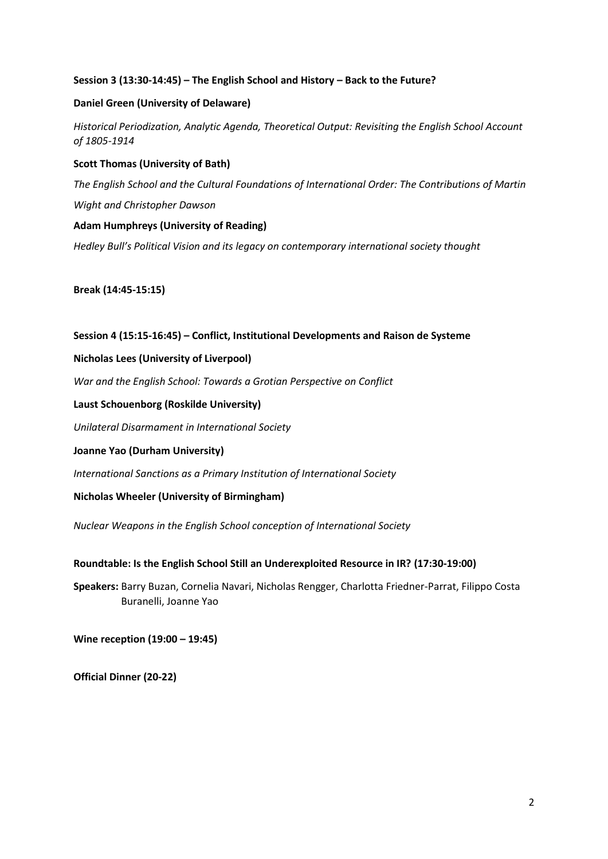## **Session 3 (13:30-14:45) – The English School and History – Back to the Future?**

## **Daniel Green (University of Delaware)**

*Historical Periodization, Analytic Agenda, Theoretical Output: Revisiting the English School Account of 1805-1914*

## **Scott Thomas (University of Bath)**

*The English School and the Cultural Foundations of International Order: The Contributions of Martin Wight and Christopher Dawson*

## **Adam Humphreys (University of Reading)**

*Hedley Bull's Political Vision and its legacy on contemporary international society thought*

**Break (14:45-15:15)**

#### **Session 4 (15:15-16:45) – Conflict, Institutional Developments and Raison de Systeme**

#### **Nicholas Lees (University of Liverpool)**

*War and the English School: Towards a Grotian Perspective on Conflict*

#### **Laust Schouenborg (Roskilde University)**

*Unilateral Disarmament in International Society*

#### **Joanne Yao (Durham University)**

*International Sanctions as a Primary Institution of International Society*

## **Nicholas Wheeler (University of Birmingham)**

*Nuclear Weapons in the English School conception of International Society*

## **Roundtable: Is the English School Still an Underexploited Resource in IR? (17:30-19:00)**

**Speakers:** Barry Buzan, Cornelia Navari, Nicholas Rengger, Charlotta Friedner-Parrat, Filippo Costa Buranelli, Joanne Yao

**Wine reception (19:00 – 19:45)**

**Official Dinner (20-22)**